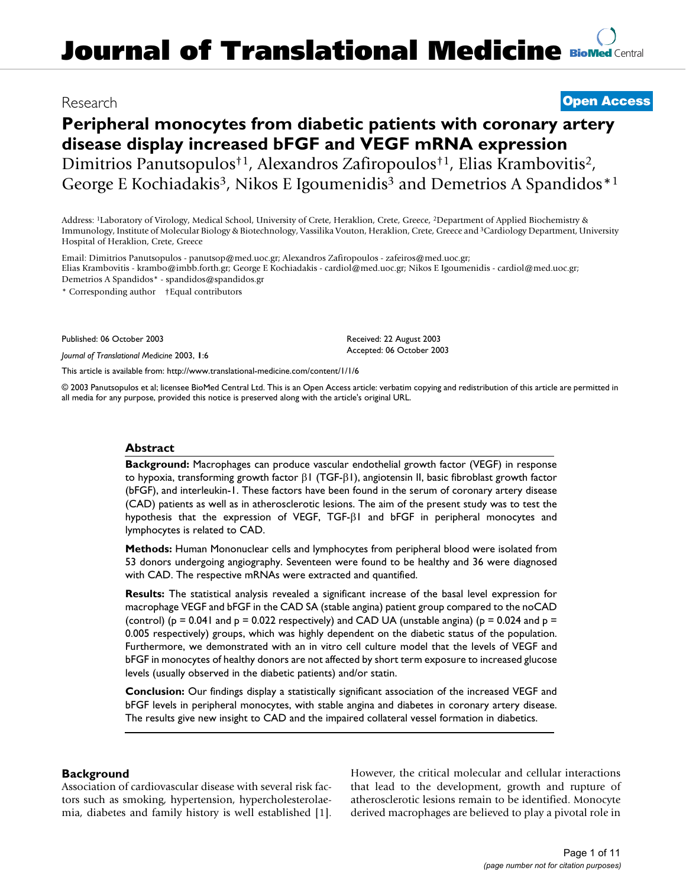# **Journal of Translational Medicine [BioMed](http://www.biomedcentral.com/) Central**

## Research **[Open Access](http://www.biomedcentral.com/info/about/charter/)**

# **Peripheral monocytes from diabetic patients with coronary artery disease display increased bFGF and VEGF mRNA expression** Dimitrios Panutsopulos†1, Alexandros Zafiropoulos†1, Elias Krambovitis2, George E Kochiadakis<sup>3</sup>, Nikos E Igoumenidis<sup>3</sup> and Demetrios A Spandidos<sup>\*1</sup>

Address: 1Laboratory of Virology, Medical School, University of Crete, Heraklion, Crete, Greece, 2Department of Applied Biochemistry & Immunology, Institute of Molecular Biology & Biotechnology, Vassilika Vouton, Heraklion, Crete, Greece and 3Cardiology Department, University Hospital of Heraklion, Crete, Greece

Email: Dimitrios Panutsopulos - panutsop@med.uoc.gr; Alexandros Zafiropoulos - zafeiros@med.uoc.gr; Elias Krambovitis - krambo@imbb.forth.gr; George E Kochiadakis - cardiol@med.uoc.gr; Nikos E Igoumenidis - cardiol@med.uoc.gr; Demetrios A Spandidos\* - spandidos@spandidos.gr

\* Corresponding author †Equal contributors

Published: 06 October 2003

*Journal of Translational Medicine* 2003, **1**:6

[This article is available from: http://www.translational-medicine.com/content/1/1/6](http://www.translational-medicine.com/content/1/1/6)

© 2003 Panutsopulos et al; licensee BioMed Central Ltd. This is an Open Access article: verbatim copying and redistribution of this article are permitted in all media for any purpose, provided this notice is preserved along with the article's original URL.

Received: 22 August 2003 Accepted: 06 October 2003

#### **Abstract**

**Background:** Macrophages can produce vascular endothelial growth factor (VEGF) in response to hypoxia, transforming growth factor  $βI$  (TGF- $βI$ ), angiotensin II, basic fibroblast growth factor (bFGF), and interleukin-1. These factors have been found in the serum of coronary artery disease (CAD) patients as well as in atherosclerotic lesions. The aim of the present study was to test the hypothesis that the expression of VEGF, TGF-β1 and bFGF in peripheral monocytes and lymphocytes is related to CAD.

**Methods:** Human Mononuclear cells and lymphocytes from peripheral blood were isolated from 53 donors undergoing angiography. Seventeen were found to be healthy and 36 were diagnosed with CAD. The respective mRNAs were extracted and quantified.

**Results:** The statistical analysis revealed a significant increase of the basal level expression for macrophage VEGF and bFGF in the CAD SA (stable angina) patient group compared to the noCAD (control) ( $p = 0.041$  and  $p = 0.022$  respectively) and CAD UA (unstable angina) ( $p = 0.024$  and  $p = 0.024$ 0.005 respectively) groups, which was highly dependent on the diabetic status of the population. Furthermore, we demonstrated with an in vitro cell culture model that the levels of VEGF and bFGF in monocytes of healthy donors are not affected by short term exposure to increased glucose levels (usually observed in the diabetic patients) and/or statin.

**Conclusion:** Our findings display a statistically significant association of the increased VEGF and bFGF levels in peripheral monocytes, with stable angina and diabetes in coronary artery disease. The results give new insight to CAD and the impaired collateral vessel formation in diabetics.

#### **Background**

Association of cardiovascular disease with several risk factors such as smoking, hypertension, hypercholesterolaemia, diabetes and family history is well established [1]. However, the critical molecular and cellular interactions that lead to the development, growth and rupture of atherosclerotic lesions remain to be identified. Monocyte derived macrophages are believed to play a pivotal role in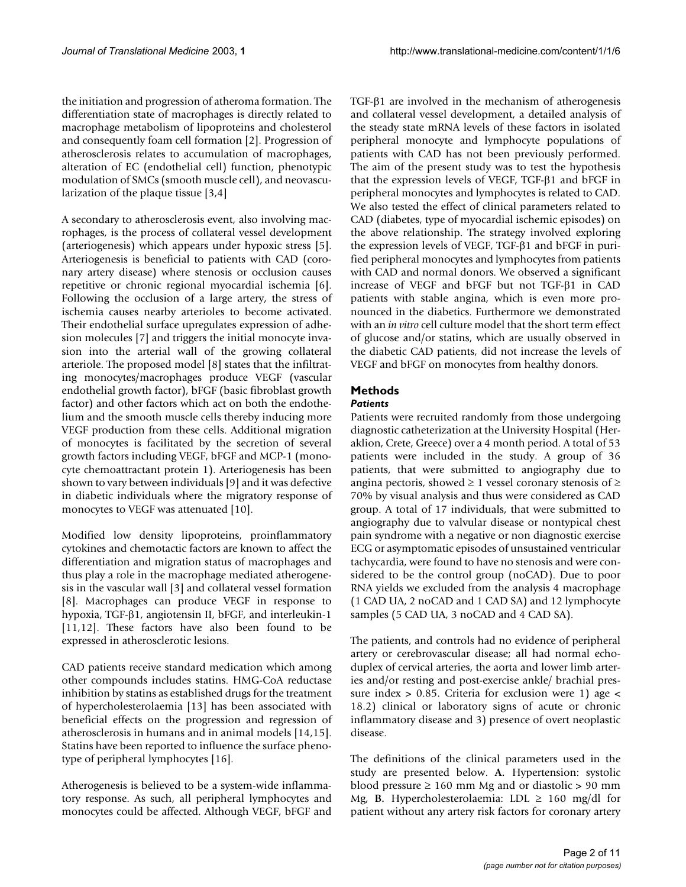the initiation and progression of atheroma formation. The differentiation state of macrophages is directly related to macrophage metabolism of lipoproteins and cholesterol and consequently foam cell formation [2]. Progression of atherosclerosis relates to accumulation of macrophages, alteration of EC (endothelial cell) function, phenotypic modulation of SMCs (smooth muscle cell), and neovascularization of the plaque tissue [3,4]

A secondary to atherosclerosis event, also involving macrophages, is the process of collateral vessel development (arteriogenesis) which appears under hypoxic stress [5]. Arteriogenesis is beneficial to patients with CAD (coronary artery disease) where stenosis or occlusion causes repetitive or chronic regional myocardial ischemia [6]. Following the occlusion of a large artery, the stress of ischemia causes nearby arterioles to become activated. Their endothelial surface upregulates expression of adhesion molecules [7] and triggers the initial monocyte invasion into the arterial wall of the growing collateral arteriole. The proposed model [8] states that the infiltrating monocytes/macrophages produce VEGF (vascular endothelial growth factor), bFGF (basic fibroblast growth factor) and other factors which act on both the endothelium and the smooth muscle cells thereby inducing more VEGF production from these cells. Additional migration of monocytes is facilitated by the secretion of several growth factors including VEGF, bFGF and MCP-1 (monocyte chemoattractant protein 1). Arteriogenesis has been shown to vary between individuals [9] and it was defective in diabetic individuals where the migratory response of monocytes to VEGF was attenuated [10].

Modified low density lipoproteins, proinflammatory cytokines and chemotactic factors are known to affect the differentiation and migration status of macrophages and thus play a role in the macrophage mediated atherogenesis in the vascular wall [3] and collateral vessel formation [8]. Macrophages can produce VEGF in response to hypoxia, TGF-β1, angiotensin II, bFGF, and interleukin-1 [11,12]. These factors have also been found to be expressed in atherosclerotic lesions.

CAD patients receive standard medication which among other compounds includes statins. HMG-CoA reductase inhibition by statins as established drugs for the treatment of hypercholesterolaemia [13] has been associated with beneficial effects on the progression and regression of atherosclerosis in humans and in animal models [14,15]. Statins have been reported to influence the surface phenotype of peripheral lymphocytes [16].

Atherogenesis is believed to be a system-wide inflammatory response. As such, all peripheral lymphocytes and monocytes could be affected. Although VEGF, bFGF and

TGF-β1 are involved in the mechanism of atherogenesis and collateral vessel development, a detailed analysis of the steady state mRNA levels of these factors in isolated peripheral monocyte and lymphocyte populations of patients with CAD has not been previously performed. The aim of the present study was to test the hypothesis that the expression levels of VEGF, TGF-β1 and bFGF in peripheral monocytes and lymphocytes is related to CAD. We also tested the effect of clinical parameters related to CAD (diabetes, type of myocardial ischemic episodes) on the above relationship. The strategy involved exploring the expression levels of VEGF, TGF-β1 and bFGF in purified peripheral monocytes and lymphocytes from patients with CAD and normal donors. We observed a significant increase of VEGF and bFGF but not TGF-β1 in CAD patients with stable angina, which is even more pronounced in the diabetics. Furthermore we demonstrated with an *in vitro* cell culture model that the short term effect of glucose and/or statins, which are usually observed in the diabetic CAD patients, did not increase the levels of VEGF and bFGF on monocytes from healthy donors.

# **Methods**

### *Patients*

Patients were recruited randomly from those undergoing diagnostic catheterization at the University Hospital (Heraklion, Crete, Greece) over a 4 month period. A total of 53 patients were included in the study. A group of 36 patients, that were submitted to angiography due to angina pectoris, showed  $\geq 1$  vessel coronary stenosis of  $\geq$ 70% by visual analysis and thus were considered as CAD group. A total of 17 individuals, that were submitted to angiography due to valvular disease or nontypical chest pain syndrome with a negative or non diagnostic exercise ECG or asymptomatic episodes of unsustained ventricular tachycardia, were found to have no stenosis and were considered to be the control group (noCAD). Due to poor RNA yields we excluded from the analysis 4 macrophage (1 CAD UA, 2 noCAD and 1 CAD SA) and 12 lymphocyte samples (5 CAD UA, 3 noCAD and 4 CAD SA).

The patients, and controls had no evidence of peripheral artery or cerebrovascular disease; all had normal echoduplex of cervical arteries, the aorta and lower limb arteries and/or resting and post-exercise ankle/ brachial pressure index  $> 0.85$ . Criteria for exclusion were 1) age  $<$ 18.2) clinical or laboratory signs of acute or chronic inflammatory disease and 3) presence of overt neoplastic disease.

The definitions of the clinical parameters used in the study are presented below. **A.** Hypertension: systolic blood pressure ≥ 160 mm Mg and or diastolic > 90 mm Mg, **B.** Hypercholesterolaemia: LDL  $\geq$  160 mg/dl for patient without any artery risk factors for coronary artery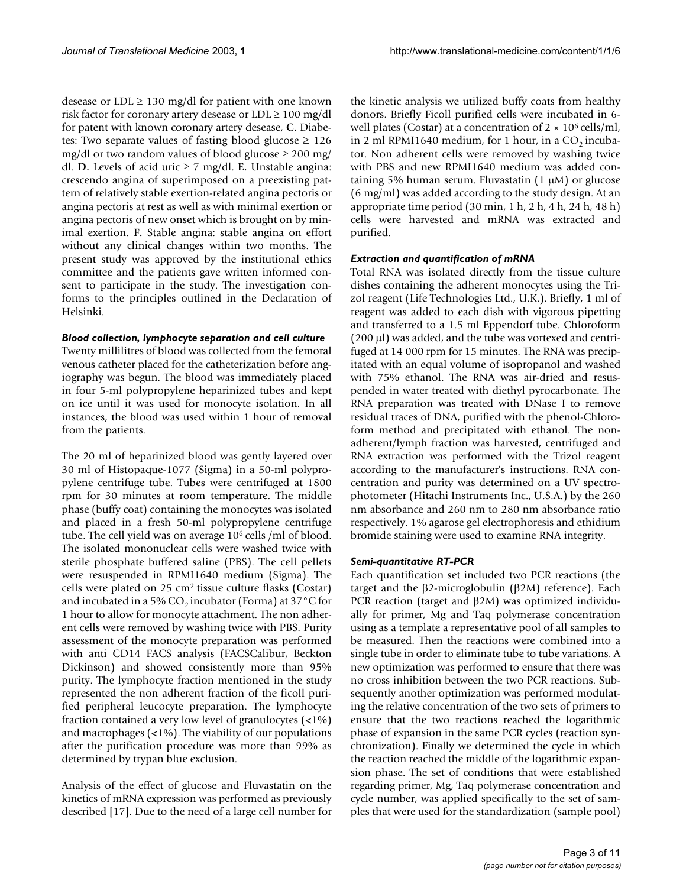desease or  $LDL \geq 130$  mg/dl for patient with one known risk factor for coronary artery desease or  $LDL \ge 100$  mg/dl for patent with known coronary artery desease, **C.** Diabetes: Two separate values of fasting blood glucose  $\geq 126$ mg/dl or two random values of blood glucose  $\geq 200$  mg/ dl. **D.** Levels of acid uric ≥ 7 mg/dl. **E.** Unstable angina: crescendo angina of superimposed on a preexisting pattern of relatively stable exertion-related angina pectoris or angina pectoris at rest as well as with minimal exertion or angina pectoris of new onset which is brought on by minimal exertion. **F.** Stable angina: stable angina on effort without any clinical changes within two months. The present study was approved by the institutional ethics committee and the patients gave written informed consent to participate in the study. The investigation conforms to the principles outlined in the Declaration of Helsinki.

#### *Blood collection, lymphocyte separation and cell culture*

Twenty millilitres of blood was collected from the femoral venous catheter placed for the catheterization before angiography was begun. The blood was immediately placed in four 5-ml polypropylene heparinized tubes and kept on ice until it was used for monocyte isolation. In all instances, the blood was used within 1 hour of removal from the patients.

The 20 ml of heparinized blood was gently layered over 30 ml of Histopaque-1077 (Sigma) in a 50-ml polypropylene centrifuge tube. Tubes were centrifuged at 1800 rpm for 30 minutes at room temperature. The middle phase (buffy coat) containing the monocytes was isolated and placed in a fresh 50-ml polypropylene centrifuge tube. The cell yield was on average 10<sup>6</sup> cells /ml of blood. The isolated mononuclear cells were washed twice with sterile phosphate buffered saline (PBS). The cell pellets were resuspended in RPMI1640 medium (Sigma). The cells were plated on  $25 \text{ cm}^2$  tissue culture flasks (Costar) and incubated in a 5%  $CO_2$  incubator (Forma) at 37 °C for 1 hour to allow for monocyte attachment. The non adherent cells were removed by washing twice with PBS. Purity assessment of the monocyte preparation was performed with anti CD14 FACS analysis (FACSCalibur, Beckton Dickinson) and showed consistently more than 95% purity. The lymphocyte fraction mentioned in the study represented the non adherent fraction of the ficoll purified peripheral leucocyte preparation. The lymphocyte fraction contained a very low level of granulocytes (<1%) and macrophages (<1%). The viability of our populations after the purification procedure was more than 99% as determined by trypan blue exclusion.

Analysis of the effect of glucose and Fluvastatin on the kinetics of mRNA expression was performed as previously described [17]. Due to the need of a large cell number for

the kinetic analysis we utilized buffy coats from healthy donors. Briefly Ficoll purified cells were incubated in 6 well plates (Costar) at a concentration of  $2 \times 10^6$  cells/ml, in 2 ml RPMI1640 medium, for 1 hour, in a  $CO<sub>2</sub>$  incubator. Non adherent cells were removed by washing twice with PBS and new RPMI1640 medium was added containing 5% human serum. Fluvastatin  $(1 \mu M)$  or glucose (6 mg/ml) was added according to the study design. At an appropriate time period (30 min, 1 h, 2 h, 4 h, 24 h, 48 h) cells were harvested and mRNA was extracted and purified.

#### *Extraction and quantification of mRNA*

Total RNA was isolated directly from the tissue culture dishes containing the adherent monocytes using the Trizol reagent (Life Technologies Ltd., U.K.). Briefly, 1 ml of reagent was added to each dish with vigorous pipetting and transferred to a 1.5 ml Eppendorf tube. Chloroform (200 µl) was added, and the tube was vortexed and centrifuged at 14 000 rpm for 15 minutes. The RNA was precipitated with an equal volume of isopropanol and washed with 75% ethanol. The RNA was air-dried and resuspended in water treated with diethyl pyrocarbonate. The RNA preparation was treated with DNase I to remove residual traces of DNA, purified with the phenol-Chloroform method and precipitated with ethanol. The nonadherent/lymph fraction was harvested, centrifuged and RNA extraction was performed with the Trizol reagent according to the manufacturer's instructions. RNA concentration and purity was determined on a UV spectrophotometer (Hitachi Instruments Inc., U.S.A.) by the 260 nm absorbance and 260 nm to 280 nm absorbance ratio respectively. 1% agarose gel electrophoresis and ethidium bromide staining were used to examine RNA integrity.

#### *Semi-quantitative RT-PCR*

Each quantification set included two PCR reactions (the target and the β2-microglobulin (β2M) reference). Each PCR reaction (target and β2M) was optimized individually for primer, Mg and Taq polymerase concentration using as a template a representative pool of all samples to be measured. Then the reactions were combined into a single tube in order to eliminate tube to tube variations. A new optimization was performed to ensure that there was no cross inhibition between the two PCR reactions. Subsequently another optimization was performed modulating the relative concentration of the two sets of primers to ensure that the two reactions reached the logarithmic phase of expansion in the same PCR cycles (reaction synchronization). Finally we determined the cycle in which the reaction reached the middle of the logarithmic expansion phase. The set of conditions that were established regarding primer, Mg, Taq polymerase concentration and cycle number, was applied specifically to the set of samples that were used for the standardization (sample pool)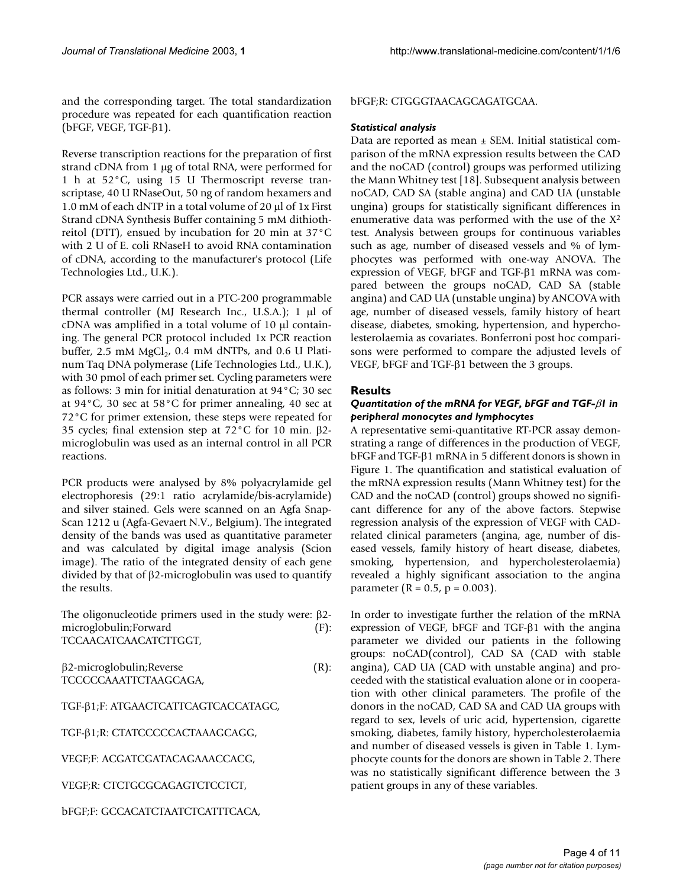and the corresponding target. The total standardization procedure was repeated for each quantification reaction (bFGF, VEGF, TGF-β1).

Reverse transcription reactions for the preparation of first strand cDNA from 1 µg of total RNA, were performed for 1 h at 52°C, using 15 U Thermoscript reverse transcriptase, 40 U RNaseOut, 50 ng of random hexamers and 1.0 mM of each dNTP in a total volume of 20 µl of 1x First Strand cDNA Synthesis Buffer containing 5 mM dithiothreitol (DTT), ensued by incubation for 20 min at 37°C with 2 U of E. coli RNaseH to avoid RNA contamination of cDNA, according to the manufacturer's protocol (Life Technologies Ltd., U.K.).

PCR assays were carried out in a PTC-200 programmable thermal controller (MJ Research Inc., U.S.A.); 1 µl of cDNA was amplified in a total volume of 10 µl containing. The general PCR protocol included 1x PCR reaction buffer,  $2.5 \text{ mM MgCl}_2$ ,  $0.4 \text{ mM dNTPs}$ , and  $0.6 \text{ U Plati-}$ num Taq DNA polymerase (Life Technologies Ltd., U.K.), with 30 pmol of each primer set. Cycling parameters were as follows: 3 min for initial denaturation at 94°C; 30 sec at 94°C, 30 sec at 58°C for primer annealing, 40 sec at 72°C for primer extension, these steps were repeated for 35 cycles; final extension step at 72°C for 10 min. β2 microglobulin was used as an internal control in all PCR reactions.

PCR products were analysed by 8% polyacrylamide gel electrophoresis (29:1 ratio acrylamide/bis-acrylamide) and silver stained. Gels were scanned on an Agfa Snap-Scan 1212 u (Agfa-Gevaert N.V., Belgium). The integrated density of the bands was used as quantitative parameter and was calculated by digital image analysis (Scion image). The ratio of the integrated density of each gene divided by that of β2-microglobulin was used to quantify the results.

The oligonucleotide primers used in the study were: β2 microglobulin;Forward (F): TCCAACATCAACATCTTGGT,

β2-microglobulin;Reverse (R): TCCCCCAAATTCTAAGCAGA,

TGF-β1;F: ATGAACTCATTCAGTCACCATAGC,

TGF-β1;R: CTATCCCCCACTAAAGCAGG,

VEGF;F: ACGATCGATACAGAAACCACG,

VEGF;R: CTCTGCGCAGAGTCTCCTCT,

bFGF;F: GCCACATCTAATCTCATTTCACA,

#### bFGF;R: CTGGGTAACAGCAGATGCAA.

#### *Statistical analysis*

Data are reported as mean  $\pm$  SEM. Initial statistical comparison of the mRNA expression results between the CAD and the noCAD (control) groups was performed utilizing the Mann Whitney test [18]. Subsequent analysis between noCAD, CAD SA (stable angina) and CAD UA (unstable ungina) groups for statistically significant differences in enumerative data was performed with the use of the X2 test. Analysis between groups for continuous variables such as age, number of diseased vessels and % of lymphocytes was performed with one-way ANOVA. The expression of VEGF, bFGF and TGF-β1 mRNA was compared between the groups noCAD, CAD SA (stable angina) and CAD UA (unstable ungina) by ANCOVA with age, number of diseased vessels, family history of heart disease, diabetes, smoking, hypertension, and hypercholesterolaemia as covariates. Bonferroni post hoc comparisons were performed to compare the adjusted levels of VEGF, bFGF and TGF-β1 between the 3 groups.

#### **Results**

#### *Quantitation of the mRNA for VEGF, bFGF and TGF-*β*1 in peripheral monocytes and lymphocytes*

A representative semi-quantitative RT-PCR assay demonstrating a range of differences in the production of VEGF, bFGF and TGF-β1 mRNA in 5 different donors is shown in Figure [1.](#page-4-0) The quantification and statistical evaluation of the mRNA expression results (Mann Whitney test) for the CAD and the noCAD (control) groups showed no significant difference for any of the above factors. Stepwise regression analysis of the expression of VEGF with CADrelated clinical parameters (angina, age, number of diseased vessels, family history of heart disease, diabetes, smoking, hypertension, and hypercholesterolaemia) revealed a highly significant association to the angina parameter ( $R = 0.5$ ,  $p = 0.003$ ).

In order to investigate further the relation of the mRNA expression of VEGF, bFGF and TGF-β1 with the angina parameter we divided our patients in the following groups: noCAD(control), CAD SA (CAD with stable angina), CAD UA (CAD with unstable angina) and proceeded with the statistical evaluation alone or in cooperation with other clinical parameters. The profile of the donors in the noCAD, CAD SA and CAD UA groups with regard to sex, levels of uric acid, hypertension, cigarette smoking, diabetes, family history, hypercholesterolaemia and number of diseased vessels is given in Table [1](#page-4-1). Lymphocyte counts for the donors are shown in Table [2.](#page-4-2) There was no statistically significant difference between the 3 patient groups in any of these variables.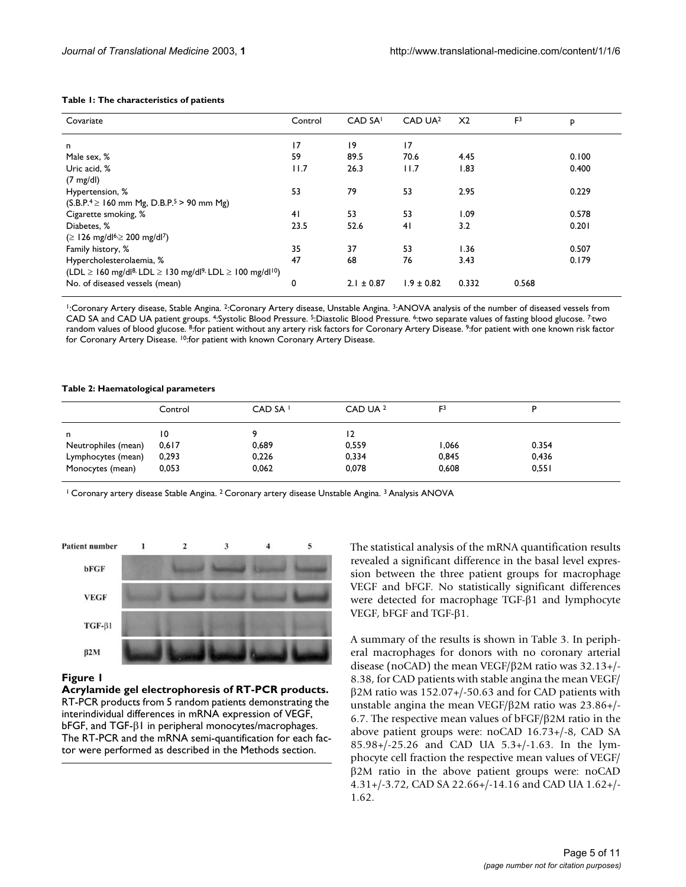#### <span id="page-4-1"></span>**Table 1: The characteristics of patients**

| Covariate                                                                                               | Control         | CAD SA <sup>1</sup> | CAD UA <sup>2</sup> | X <sub>2</sub> | F <sup>3</sup> | P     |
|---------------------------------------------------------------------------------------------------------|-----------------|---------------------|---------------------|----------------|----------------|-------|
|                                                                                                         |                 |                     |                     |                |                |       |
| n.                                                                                                      | $\overline{17}$ | 19                  | 17                  |                |                |       |
| Male sex, %                                                                                             | 59              | 89.5                | 70.6                | 4.45           |                | 0.100 |
| Uric acid. %                                                                                            | 11.7            | 26.3                | 11.7                | 1.83           |                | 0.400 |
| $(7 \text{ mg/dl})$                                                                                     |                 |                     |                     |                |                |       |
| Hypertension, %                                                                                         | 53              | 79                  | 53                  | 2.95           |                | 0.229 |
| $(S.B.P.^4 \ge 160$ mm Mg, D.B.P. <sup>5</sup> > 90 mm Mg)                                              |                 |                     |                     |                |                |       |
| Cigarette smoking, %                                                                                    | 41              | 53                  | 53                  | 1.09           |                | 0.578 |
| Diabetes, %                                                                                             | 23.5            | 52.6                | 41                  | 3.2            |                | 0.201 |
| (≥ 126 mg/dl <sup>6,</sup> ≥ 200 mg/dl <sup>7</sup> )                                                   |                 |                     |                     |                |                |       |
| Family history, %                                                                                       | 35              | 37                  | 53                  | 1.36           |                | 0.507 |
| Hypercholesterolaemia, %                                                                                | 47              | 68                  | 76                  | 3.43           |                | 0.179 |
| $(LDL \ge 160 \text{ mg/d}^{8} \cdot LDL \ge 130 \text{ mg/d}^{9} \cdot LDL \ge 100 \text{ mg/d}^{10})$ |                 |                     |                     |                |                |       |
| No. of diseased vessels (mean)                                                                          | 0               | $2.1 \pm 0.87$      | $1.9 \pm 0.82$      | 0.332          | 0.568          |       |

1:Coronary Artery disease, Stable Angina. 2:Coronary Artery disease, Unstable Angina. 3:ANOVA analysis of the number of diseased vessels from CAD SA and CAD UA patient groups. 4:Systolic Blood Pressure. 5:Diastolic Blood Pressure. 6:two separate values of fasting blood glucose. 7:two random values of blood glucose. <sup>8</sup>:for patient without any artery risk factors for Coronary Artery Disease. <sup>9</sup>:for patient with one known risk factor for Coronary Artery Disease. 10:for patient with known Coronary Artery Disease.

#### <span id="page-4-2"></span>**Table 2: Haematological parameters**

|                     | Control | CAD SA <sup>1</sup> | CAD UA 2 | F <sup>3</sup> |       |  |
|---------------------|---------|---------------------|----------|----------------|-------|--|
| n                   | 10      |                     | 12       |                |       |  |
| Neutrophiles (mean) | 0.617   | 0,689               | 0,559    | .066           | 0.354 |  |
| Lymphocytes (mean)  | 0,293   | 0,226               | 0,334    | 0,845          | 0,436 |  |
| Monocytes (mean)    | 0,053   | 0,062               | 0,078    | 0,608          | 0,551 |  |

<sup>1</sup> Coronary artery disease Stable Angina. <sup>2</sup> Coronary artery disease Unstable Angina. <sup>3</sup> Analysis ANOVA

<span id="page-4-0"></span>

#### Figure 1

**Acrylamide gel electrophoresis of RT-PCR products.**  RT-PCR products from 5 random patients demonstrating the interindividual differences in mRNA expression of VEGF, bFGF, and TGF-β1 in peripheral monocytes/macrophages. The RT-PCR and the mRNA semi-quantification for each factor were performed as described in the Methods section.

The statistical analysis of the mRNA quantification results revealed a significant difference in the basal level expression between the three patient groups for macrophage VEGF and bFGF. No statistically significant differences were detected for macrophage TGF-β1 and lymphocyte VEGF, bFGF and TGF-β1.

A summary of the results is shown in Table [3.](#page-5-0) In peripheral macrophages for donors with no coronary arterial disease (noCAD) the mean VEGF/β2M ratio was 32.13+/- 8.38, for CAD patients with stable angina the mean VEGF/ β2M ratio was 152.07+/-50.63 and for CAD patients with unstable angina the mean VEGF/β2M ratio was 23.86+/- 6.7. The respective mean values of bFGF/β2M ratio in the above patient groups were: noCAD 16.73+/-8, CAD SA 85.98+/-25.26 and CAD UA 5.3+/-1.63. In the lymphocyte cell fraction the respective mean values of VEGF/ β2M ratio in the above patient groups were: noCAD 4.31+/-3.72, CAD SA 22.66+/-14.16 and CAD UA 1.62+/- 1.62.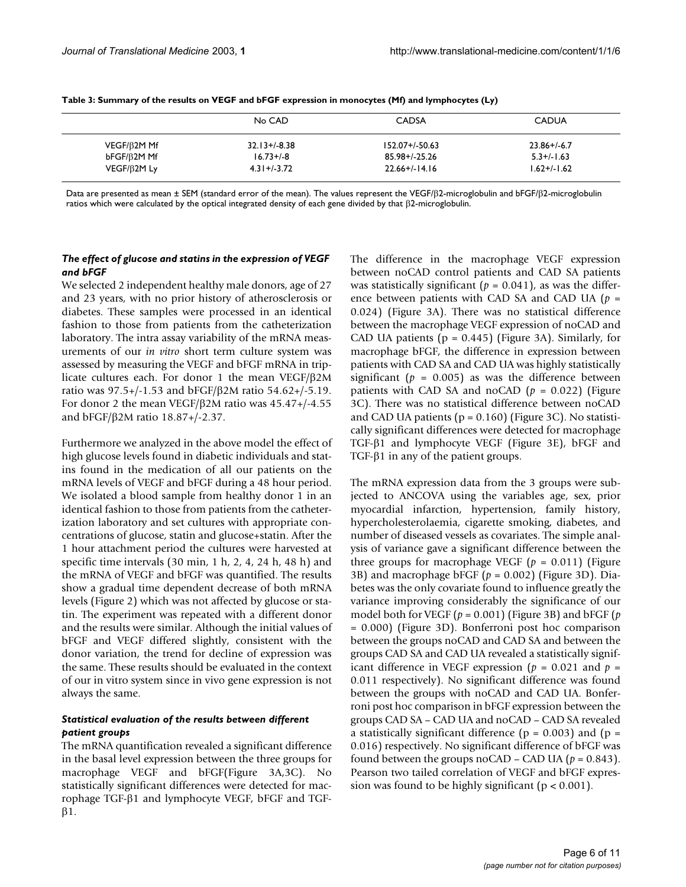|                    | No CAD           | <b>CADSA</b>       | <b>CADUA</b>     |  |
|--------------------|------------------|--------------------|------------------|--|
| $VEGF/\beta 2M Mf$ | $32.13 + 1.838$  | 152.07+/-50.63     | $23.86 + / -6.7$ |  |
| bFGF/B2M Mf        | $16.73 + (-8)$   | 85.98+/-25.26      | $5.3 + / - 1.63$ |  |
| VEGF/B2M Ly        | $4.31 + (-3.72)$ | $22.66 + (-14.16)$ | 1.62+/-1.62      |  |

<span id="page-5-0"></span>**Table 3: Summary of the results on VEGF and bFGF expression in monocytes (Mf) and lymphocytes (Ly)**

Data are presented as mean ± SEM (standard error of the mean). The values represent the VEGF/β2-microglobulin and bFGF/β2-microglobulin ratios which were calculated by the optical integrated density of each gene divided by that β2-microglobulin.

#### *The effect of glucose and statins in the expression of VEGF and bFGF*

We selected 2 independent healthy male donors, age of 27 and 23 years, with no prior history of atherosclerosis or diabetes. These samples were processed in an identical fashion to those from patients from the catheterization laboratory. The intra assay variability of the mRNA measurements of our *in vitro* short term culture system was assessed by measuring the VEGF and bFGF mRNA in triplicate cultures each. For donor 1 the mean VEGF/β2M ratio was 97.5+/-1.53 and bFGF/β2M ratio 54.62+/-5.19. For donor 2 the mean VEGF/β2M ratio was 45.47+/-4.55 and bFGF/β2M ratio 18.87+/-2.37.

Furthermore we analyzed in the above model the effect of high glucose levels found in diabetic individuals and statins found in the medication of all our patients on the mRNA levels of VEGF and bFGF during a 48 hour period. We isolated a blood sample from healthy donor 1 in an identical fashion to those from patients from the catheterization laboratory and set cultures with appropriate concentrations of glucose, statin and glucose+statin. After the 1 hour attachment period the cultures were harvested at specific time intervals (30 min, 1 h, 2, 4, 24 h, 48 h) and the mRNA of VEGF and bFGF was quantified. The results show a gradual time dependent decrease of both mRNA levels (Figure 2) which was not affected by glucose or statin. The experiment was repeated with a different donor and the results were similar. Although the initial values of bFGF and VEGF differed slightly, consistent with the donor variation, the trend for decline of expression was the same. These results should be evaluated in the context of our in vitro system since in vivo gene expression is not always the same.

#### *Statistical evaluation of the results between different patient groups*

The mRNA quantification revealed a significant difference in the basal level expression between the three groups for macrophage VEGF and bFGF(Figure [3](#page-7-0)A,3C). No statistically significant differences were detected for macrophage TGF-β1 and lymphocyte VEGF, bFGF and TGFβ1.

The difference in the macrophage VEGF expression between noCAD control patients and CAD SA patients was statistically significant  $(p = 0.041)$ , as was the difference between patients with CAD SA and CAD UA (*p* = 0.024) (Figure [3](#page-7-0)A). There was no statistical difference between the macrophage VEGF expression of noCAD and CAD UA patients ( $p = 0.445$ ) (Figure [3](#page-7-0)A). Similarly, for macrophage bFGF, the difference in expression between patients with CAD SA and CAD UA was highly statistically significant ( $p = 0.005$ ) as was the difference between patients with CAD SA and noCAD (*p* = 0.022) (Figure [3](#page-7-0)C). There was no statistical difference between noCAD and CAD UA patients ( $p = 0.160$ ) (Figure [3C](#page-7-0)). No statistically significant differences were detected for macrophage TGF-β1 and lymphocyte VEGF (Figure [3E](#page-7-0)), bFGF and TGF-β1 in any of the patient groups.

The mRNA expression data from the 3 groups were subjected to ANCOVA using the variables age, sex, prior myocardial infarction, hypertension, family history, hypercholesterolaemia, cigarette smoking, diabetes, and number of diseased vessels as covariates. The simple analysis of variance gave a significant difference between the three groups for macrophage VEGF  $(p = 0.011)$  (Figure [3](#page-7-0)B) and macrophage bFGF (*p* = 0.002) (Figure [3D](#page-7-0)). Diabetes was the only covariate found to influence greatly the variance improving considerably the significance of our model both for VEGF ( $p = 0.001$ ) (Figure [3B](#page-7-0)) and bFGF ( $p$ = 0.000) (Figure [3](#page-7-0)D). Bonferroni post hoc comparison between the groups noCAD and CAD SA and between the groups CAD SA and CAD UA revealed a statistically significant difference in VEGF expression ( $p = 0.021$  and  $p =$ 0.011 respectively). No significant difference was found between the groups with noCAD and CAD UA. Bonferroni post hoc comparison in bFGF expression between the groups CAD SA – CAD UA and noCAD – CAD SA revealed a statistically significant difference ( $p = 0.003$ ) and ( $p =$ 0.016) respectively. No significant difference of bFGF was found between the groups noCAD – CAD UA  $(p = 0.843)$ . Pearson two tailed correlation of VEGF and bFGF expression was found to be highly significant ( $p < 0.001$ ).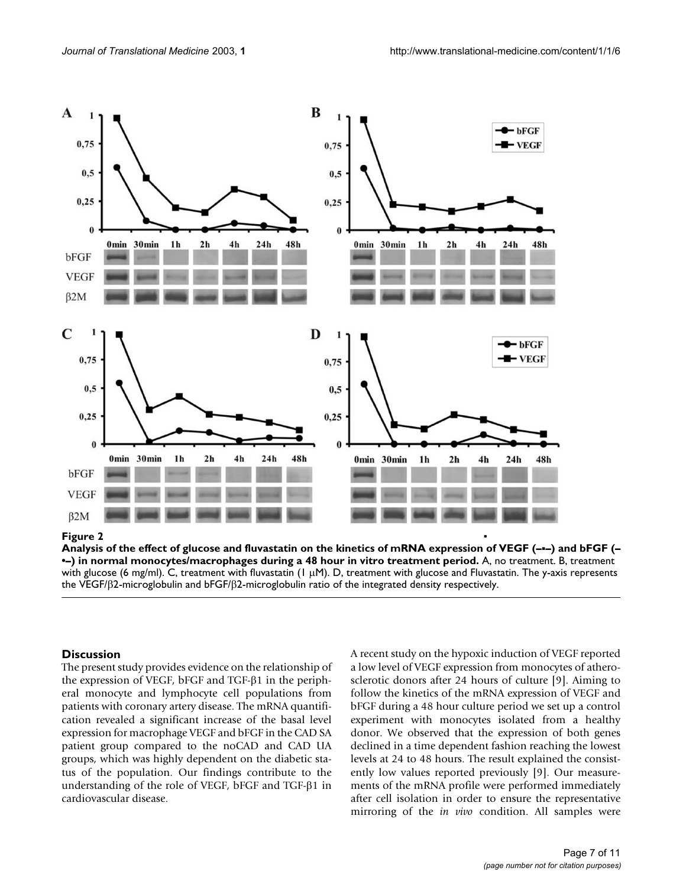

**Analysis of the effect of glucose and fluvastatin on the kinetics of mRNA expression of VEGF (–**▪**–) and bFGF (– •–) in normal monocytes/macrophages during a 48 hour in vitro treatment period.** A, no treatment. B, treatment with glucose (6 mg/ml). C, treatment with fluvastatin (1  $\mu$ M). D, treatment with glucose and Fluvastatin. The y-axis represents the VEGF/β2-microglobulin and bFGF/β2-microglobulin ratio of the integrated density respectively.

#### **Discussion**

The present study provides evidence on the relationship of the expression of VEGF, bFGF and TGF-β1 in the peripheral monocyte and lymphocyte cell populations from patients with coronary artery disease. The mRNA quantification revealed a significant increase of the basal level expression for macrophage VEGF and bFGF in the CAD SA patient group compared to the noCAD and CAD UA groups, which was highly dependent on the diabetic status of the population. Our findings contribute to the understanding of the role of VEGF, bFGF and TGF-β1 in cardiovascular disease.

A recent study on the hypoxic induction of VEGF reported a low level of VEGF expression from monocytes of atherosclerotic donors after 24 hours of culture [9]. Aiming to follow the kinetics of the mRNA expression of VEGF and bFGF during a 48 hour culture period we set up a control experiment with monocytes isolated from a healthy donor. We observed that the expression of both genes declined in a time dependent fashion reaching the lowest levels at 24 to 48 hours. The result explained the consistently low values reported previously [9]. Our measurements of the mRNA profile were performed immediately after cell isolation in order to ensure the representative mirroring of the *in vivo* condition. All samples were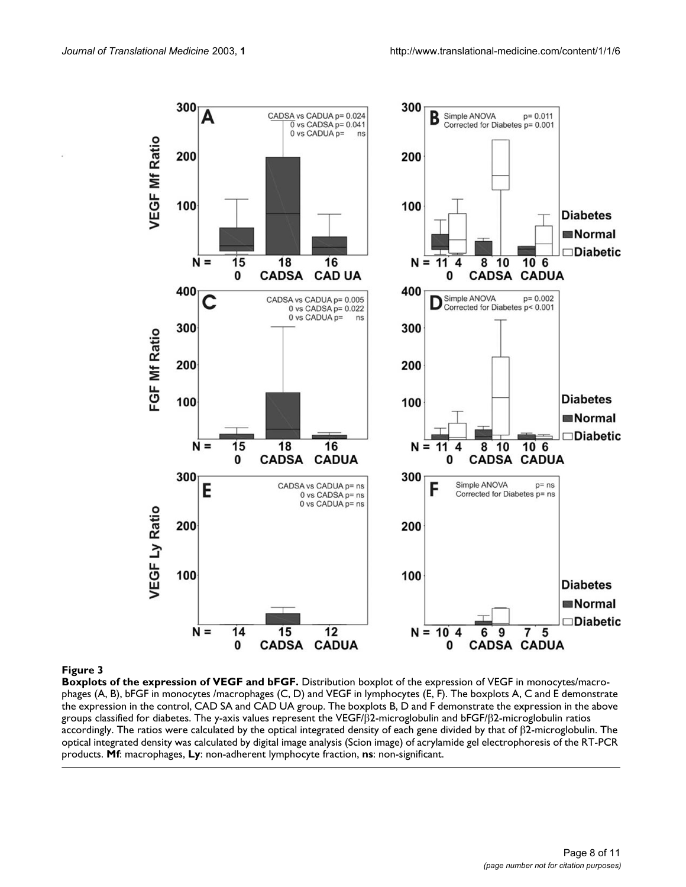<span id="page-7-0"></span>

#### **Figure 3**

**Boxplots of the expression of VEGF and bFGF.** Distribution boxplot of the expression of VEGF in monocytes/macrophages (A, B), bFGF in monocytes /macrophages (C, D) and VEGF in lymphocytes (E, F). The boxplots A, C and E demonstrate the expression in the control, CAD SA and CAD UA group. The boxplots B, D and F demonstrate the expression in the above groups classified for diabetes. The y-axis values represent the VEGF/β2-microglobulin and bFGF/β2-microglobulin ratios accordingly. The ratios were calculated by the optical integrated density of each gene divided by that of β2-microglobulin. The optical integrated density was calculated by digital image analysis (Scion image) of acrylamide gel electrophoresis of the RT-PCR products. **Mf**: macrophages, **Ly**: non-adherent lymphocyte fraction, **ns**: non-significant.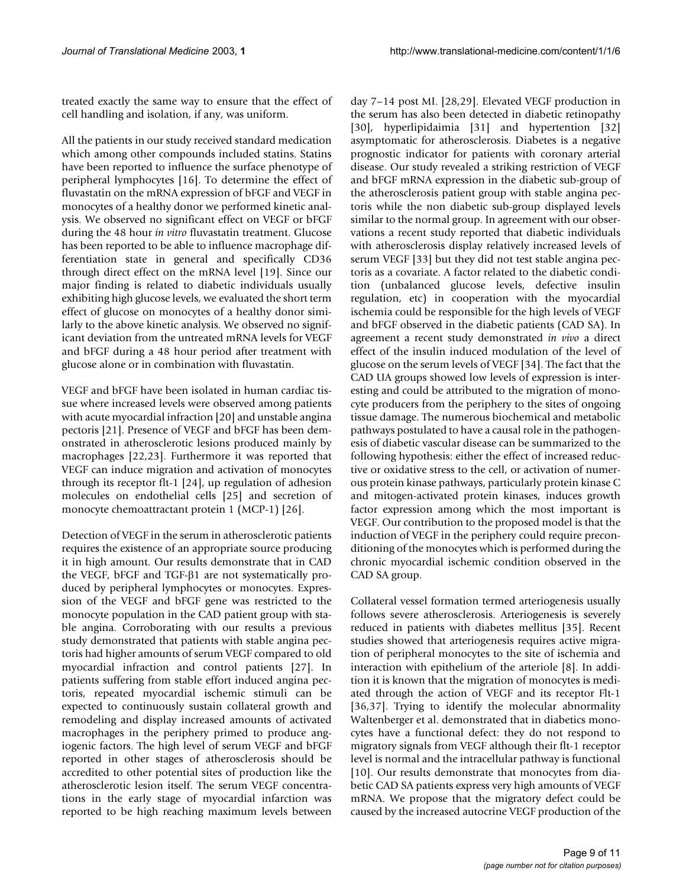treated exactly the same way to ensure that the effect of cell handling and isolation, if any, was uniform.

All the patients in our study received standard medication which among other compounds included statins. Statins have been reported to influence the surface phenotype of peripheral lymphocytes [16]. To determine the effect of fluvastatin on the mRNA expression of bFGF and VEGF in monocytes of a healthy donor we performed kinetic analysis. We observed no significant effect on VEGF or bFGF during the 48 hour *in vitro* fluvastatin treatment. Glucose has been reported to be able to influence macrophage differentiation state in general and specifically CD36 through direct effect on the mRNA level [19]. Since our major finding is related to diabetic individuals usually exhibiting high glucose levels, we evaluated the short term effect of glucose on monocytes of a healthy donor similarly to the above kinetic analysis. We observed no significant deviation from the untreated mRNA levels for VEGF and bFGF during a 48 hour period after treatment with glucose alone or in combination with fluvastatin.

VEGF and bFGF have been isolated in human cardiac tissue where increased levels were observed among patients with acute myocardial infraction [20] and unstable angina pectoris [21]. Presence of VEGF and bFGF has been demonstrated in atherosclerotic lesions produced mainly by macrophages [22,23]. Furthermore it was reported that VEGF can induce migration and activation of monocytes through its receptor flt-1 [24], up regulation of adhesion molecules on endothelial cells [25] and secretion of monocyte chemoattractant protein 1 (MCP-1) [26].

Detection of VEGF in the serum in atherosclerotic patients requires the existence of an appropriate source producing it in high amount. Our results demonstrate that in CAD the VEGF, bFGF and TGF-β1 are not systematically produced by peripheral lymphocytes or monocytes. Expression of the VEGF and bFGF gene was restricted to the monocyte population in the CAD patient group with stable angina. Corroborating with our results a previous study demonstrated that patients with stable angina pectoris had higher amounts of serum VEGF compared to old myocardial infraction and control patients [27]. In patients suffering from stable effort induced angina pectoris, repeated myocardial ischemic stimuli can be expected to continuously sustain collateral growth and remodeling and display increased amounts of activated macrophages in the periphery primed to produce angiogenic factors. The high level of serum VEGF and bFGF reported in other stages of atherosclerosis should be accredited to other potential sites of production like the atherosclerotic lesion itself. The serum VEGF concentrations in the early stage of myocardial infarction was reported to be high reaching maximum levels between

day 7–14 post MI. [28,29]. Elevated VEGF production in the serum has also been detected in diabetic retinopathy [30], hyperlipidaimia [31] and hypertention [32] asymptomatic for atherosclerosis. Diabetes is a negative prognostic indicator for patients with coronary arterial disease. Our study revealed a striking restriction of VEGF and bFGF mRNA expression in the diabetic sub-group of the atherosclerosis patient group with stable angina pectoris while the non diabetic sub-group displayed levels similar to the normal group. In agreement with our observations a recent study reported that diabetic individuals with atherosclerosis display relatively increased levels of serum VEGF [33] but they did not test stable angina pectoris as a covariate. A factor related to the diabetic condition (unbalanced glucose levels, defective insulin regulation, etc) in cooperation with the myocardial ischemia could be responsible for the high levels of VEGF and bFGF observed in the diabetic patients (CAD SA). In agreement a recent study demonstrated *in vivo* a direct effect of the insulin induced modulation of the level of glucose on the serum levels of VEGF [34]. The fact that the CAD UA groups showed low levels of expression is interesting and could be attributed to the migration of monocyte producers from the periphery to the sites of ongoing tissue damage. The numerous biochemical and metabolic pathways postulated to have a causal role in the pathogenesis of diabetic vascular disease can be summarized to the following hypothesis: either the effect of increased reductive or oxidative stress to the cell, or activation of numerous protein kinase pathways, particularly protein kinase C and mitogen-activated protein kinases, induces growth factor expression among which the most important is VEGF. Our contribution to the proposed model is that the induction of VEGF in the periphery could require preconditioning of the monocytes which is performed during the chronic myocardial ischemic condition observed in the CAD SA group.

Collateral vessel formation termed arteriogenesis usually follows severe atherosclerosis. Arteriogenesis is severely reduced in patients with diabetes mellitus [35]. Recent studies showed that arteriogenesis requires active migration of peripheral monocytes to the site of ischemia and interaction with epithelium of the arteriole [8]. In addition it is known that the migration of monocytes is mediated through the action of VEGF and its receptor Flt-1 [36,37]. Trying to identify the molecular abnormality Waltenberger et al. demonstrated that in diabetics monocytes have a functional defect: they do not respond to migratory signals from VEGF although their flt-1 receptor level is normal and the intracellular pathway is functional [10]. Our results demonstrate that monocytes from diabetic CAD SA patients express very high amounts of VEGF mRNA. We propose that the migratory defect could be caused by the increased autocrine VEGF production of the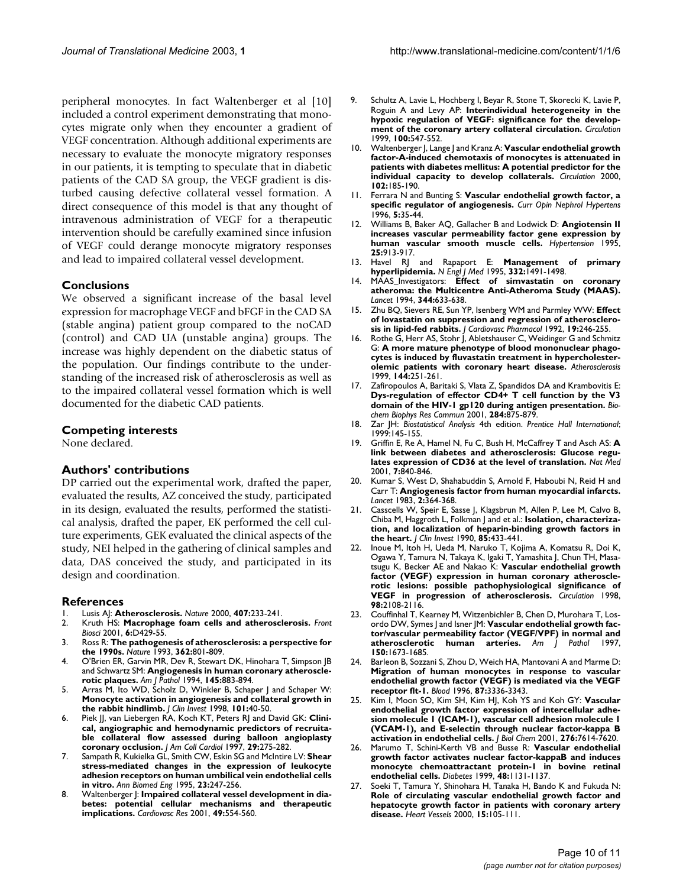peripheral monocytes. In fact Waltenberger et al [10] included a control experiment demonstrating that monocytes migrate only when they encounter a gradient of VEGF concentration. Although additional experiments are necessary to evaluate the monocyte migratory responses in our patients, it is tempting to speculate that in diabetic patients of the CAD SA group, the VEGF gradient is disturbed causing defective collateral vessel formation. A direct consequence of this model is that any thought of intravenous administration of VEGF for a therapeutic intervention should be carefully examined since infusion of VEGF could derange monocyte migratory responses and lead to impaired collateral vessel development.

#### **Conclusions**

We observed a significant increase of the basal level expression for macrophage VEGF and bFGF in the CAD SA (stable angina) patient group compared to the noCAD (control) and CAD UA (unstable angina) groups. The increase was highly dependent on the diabetic status of the population. Our findings contribute to the understanding of the increased risk of atherosclerosis as well as to the impaired collateral vessel formation which is well documented for the diabetic CAD patients.

#### **Competing interests**

None declared.

#### **Authors' contributions**

DP carried out the experimental work, drafted the paper, evaluated the results, AZ conceived the study, participated in its design, evaluated the results, performed the statistical analysis, drafted the paper, EK performed the cell culture experiments, GEK evaluated the clinical aspects of the study, NEI helped in the gathering of clinical samples and data, DAS conceived the study, and participated in its design and coordination.

#### **References**

- 1. Lusis AJ: **[Atherosclerosis.](http://www.ncbi.nlm.nih.gov/entrez/query.fcgi?cmd=Retrieve&db=PubMed&dopt=Abstract&list_uids=11001066)** *Nature* 2000, **407:**233-241.
- 2. Kruth HS: **[Macrophage foam cells and atherosclerosis.](http://www.ncbi.nlm.nih.gov/entrez/query.fcgi?cmd=Retrieve&db=PubMed&dopt=Abstract&list_uids=11229875)** *Front Biosci* 2001, **6:**D429-55.
- 3. Ross R: **[The pathogenesis of atherosclerosis: a perspective for](http://www.ncbi.nlm.nih.gov/entrez/query.fcgi?cmd=Retrieve&db=PubMed&dopt=Abstract&list_uids=8479518) [the 1990s.](http://www.ncbi.nlm.nih.gov/entrez/query.fcgi?cmd=Retrieve&db=PubMed&dopt=Abstract&list_uids=8479518)** *Nature* 1993, **362:**801-809.
- 4. O'Brien ER, Garvin MR, Dev R, Stewart DK, Hinohara T, Simpson JB and Schwartz SM: **[Angiogenesis in human coronary atheroscle](http://www.ncbi.nlm.nih.gov/entrez/query.fcgi?cmd=Retrieve&db=PubMed&dopt=Abstract&list_uids=7524331)[rotic plaques.](http://www.ncbi.nlm.nih.gov/entrez/query.fcgi?cmd=Retrieve&db=PubMed&dopt=Abstract&list_uids=7524331)** *Am J Pathol* 1994, **145:**883-894.
- Arras M, Ito WD, Scholz D, Winkler B, Schaper J and Schaper W: **[Monocyte activation in angiogenesis and collateral growth in](http://www.ncbi.nlm.nih.gov/entrez/query.fcgi?cmd=Retrieve&db=PubMed&dopt=Abstract&list_uids=9421464) [the rabbit hindlimb.](http://www.ncbi.nlm.nih.gov/entrez/query.fcgi?cmd=Retrieve&db=PubMed&dopt=Abstract&list_uids=9421464)** *J Clin Invest* 1998, **101:**40-50.
- 6. Piek JJ, van Liebergen RA, Koch KT, Peters RJ and David GK: **[Clini](http://www.ncbi.nlm.nih.gov/entrez/query.fcgi?cmd=Retrieve&db=PubMed&dopt=Abstract&list_uids=9014978)[cal, angiographic and hemodynamic predictors of recruita](http://www.ncbi.nlm.nih.gov/entrez/query.fcgi?cmd=Retrieve&db=PubMed&dopt=Abstract&list_uids=9014978)ble collateral flow assessed during balloon angioplasty [coronary occlusion.](http://www.ncbi.nlm.nih.gov/entrez/query.fcgi?cmd=Retrieve&db=PubMed&dopt=Abstract&list_uids=9014978)** *J Am Coll Cardiol* 1997, **29:**275-282.
- 7. Sampath R, Kukielka GL, Smith CW, Eskin SG and McIntire LV: **[Shear](http://www.ncbi.nlm.nih.gov/entrez/query.fcgi?cmd=Retrieve&db=PubMed&dopt=Abstract&list_uids=7543262) [stress-mediated changes in the expression of leukocyte](http://www.ncbi.nlm.nih.gov/entrez/query.fcgi?cmd=Retrieve&db=PubMed&dopt=Abstract&list_uids=7543262) adhesion receptors on human umbilical vein endothelial cells [in vitro.](http://www.ncbi.nlm.nih.gov/entrez/query.fcgi?cmd=Retrieve&db=PubMed&dopt=Abstract&list_uids=7543262)** *Ann Biomed Eng* 1995, **23:**247-256.
- Waltenberger J: [Impaired collateral vessel development in dia](http://www.ncbi.nlm.nih.gov/entrez/query.fcgi?cmd=Retrieve&db=PubMed&dopt=Abstract&list_uids=11166268)**[betes: potential cellular mechanisms and therapeutic](http://www.ncbi.nlm.nih.gov/entrez/query.fcgi?cmd=Retrieve&db=PubMed&dopt=Abstract&list_uids=11166268) [implications.](http://www.ncbi.nlm.nih.gov/entrez/query.fcgi?cmd=Retrieve&db=PubMed&dopt=Abstract&list_uids=11166268)** *Cardiovasc Res* 2001, **49:**554-560.
- 9. Schultz A, Lavie L, Hochberg I, Beyar R, Stone T, Skorecki K, Lavie P, Roguin A and Levy AP: **[Interindividual heterogeneity in the](http://www.ncbi.nlm.nih.gov/entrez/query.fcgi?cmd=Retrieve&db=PubMed&dopt=Abstract&list_uids=10430770) [hypoxic regulation of VEGF: significance for the develop](http://www.ncbi.nlm.nih.gov/entrez/query.fcgi?cmd=Retrieve&db=PubMed&dopt=Abstract&list_uids=10430770)[ment of the coronary artery collateral circulation.](http://www.ncbi.nlm.nih.gov/entrez/query.fcgi?cmd=Retrieve&db=PubMed&dopt=Abstract&list_uids=10430770)** *Circulation* 1999, **100:**547-552.
- 10. Waltenberger J, Lange J and Kranz A: **[Vascular endothelial growth](http://www.ncbi.nlm.nih.gov/entrez/query.fcgi?cmd=Retrieve&db=PubMed&dopt=Abstract&list_uids=10889129) [factor-A-induced chemotaxis of monocytes is attenuated in](http://www.ncbi.nlm.nih.gov/entrez/query.fcgi?cmd=Retrieve&db=PubMed&dopt=Abstract&list_uids=10889129) patients with diabetes mellitus: A potential predictor for the [individual capacity to develop collaterals.](http://www.ncbi.nlm.nih.gov/entrez/query.fcgi?cmd=Retrieve&db=PubMed&dopt=Abstract&list_uids=10889129)** *Circulation* 2000, **102:**185-190.
- 11. Ferrara N and Bunting S: **[Vascular endothelial growth factor, a](http://www.ncbi.nlm.nih.gov/entrez/query.fcgi?cmd=Retrieve&db=PubMed&dopt=Abstract&list_uids=8834160) [specific regulator of angiogenesis.](http://www.ncbi.nlm.nih.gov/entrez/query.fcgi?cmd=Retrieve&db=PubMed&dopt=Abstract&list_uids=8834160)** *Curr Opin Nephrol Hypertens* 1996, **5:**35-44.
- 12. Williams B, Baker AQ, Gallacher B and Lodwick D: **[Angiotensin II](http://www.ncbi.nlm.nih.gov/entrez/query.fcgi?cmd=Retrieve&db=PubMed&dopt=Abstract&list_uids=7737726) [increases vascular permeability factor gene expression by](http://www.ncbi.nlm.nih.gov/entrez/query.fcgi?cmd=Retrieve&db=PubMed&dopt=Abstract&list_uids=7737726) [human vascular smooth muscle cells.](http://www.ncbi.nlm.nih.gov/entrez/query.fcgi?cmd=Retrieve&db=PubMed&dopt=Abstract&list_uids=7737726)** *Hypertension* 1995, **25:**913-917.
- 13. Havel RJ and Rapaport E: **[Management of primary](http://www.ncbi.nlm.nih.gov/entrez/query.fcgi?cmd=Retrieve&db=PubMed&dopt=Abstract&list_uids=7739687) [hyperlipidemia.](http://www.ncbi.nlm.nih.gov/entrez/query.fcgi?cmd=Retrieve&db=PubMed&dopt=Abstract&list_uids=7739687)** *N Engl J Med* 1995, **332:**1491-1498.
- 14. MAAS\_Investigators: **[Effect of simvastatin on coronary](http://www.ncbi.nlm.nih.gov/entrez/query.fcgi?cmd=Retrieve&db=PubMed&dopt=Abstract&list_uids=7864934) [atheroma: the Multicentre Anti-Atheroma Study \(MAAS\).](http://www.ncbi.nlm.nih.gov/entrez/query.fcgi?cmd=Retrieve&db=PubMed&dopt=Abstract&list_uids=7864934)** *Lancet* 1994, **344:**633-638.
- 15. Zhu BQ, Sievers RE, Sun YP, Isenberg WM and Parmley WW: **[Effect](http://www.ncbi.nlm.nih.gov/entrez/query.fcgi?cmd=Retrieve&db=PubMed&dopt=Abstract&list_uids=1376794) [of lovastatin on suppression and regression of atherosclero](http://www.ncbi.nlm.nih.gov/entrez/query.fcgi?cmd=Retrieve&db=PubMed&dopt=Abstract&list_uids=1376794)[sis in lipid-fed rabbits.](http://www.ncbi.nlm.nih.gov/entrez/query.fcgi?cmd=Retrieve&db=PubMed&dopt=Abstract&list_uids=1376794)** *J Cardiovasc Pharmacol* 1992, **19:**246-255.
- 16. Rothe G, Herr AS, Stohr J, Abletshauser C, Weidinger G and Schmitz G: **[A more mature phenotype of blood mononuclear phago](http://www.ncbi.nlm.nih.gov/entrez/query.fcgi?cmd=Retrieve&db=PubMed&dopt=Abstract&list_uids=10381298)[cytes is induced by fluvastatin treatment in hypercholester](http://www.ncbi.nlm.nih.gov/entrez/query.fcgi?cmd=Retrieve&db=PubMed&dopt=Abstract&list_uids=10381298)[olemic patients with coronary heart disease.](http://www.ncbi.nlm.nih.gov/entrez/query.fcgi?cmd=Retrieve&db=PubMed&dopt=Abstract&list_uids=10381298)** *Atherosclerosis* 1999, **144:**251-261.
- 17. Zafiropoulos A, Baritaki S, Vlata Z, Spandidos DA and Krambovitis E: **[Dys-regulation of effector CD4+ T cell function by the V3](http://www.ncbi.nlm.nih.gov/entrez/query.fcgi?cmd=Retrieve&db=PubMed&dopt=Abstract&list_uids=11409875) [domain of the HIV-1 gp120 during antigen presentation.](http://www.ncbi.nlm.nih.gov/entrez/query.fcgi?cmd=Retrieve&db=PubMed&dopt=Abstract&list_uids=11409875)** *Biochem Biophys Res Commun* 2001, **284:**875-879.
- 18. Zar JH: *Biostatistical Analysis* 4th edition. *Prentice Hall International*; 1999:145-155.
- 19. Griffin E, Re A, Hamel N, Fu C, Bush H, McCaffrey T and Asch AS: **[A](http://www.ncbi.nlm.nih.gov/entrez/query.fcgi?cmd=Retrieve&db=PubMed&dopt=Abstract&list_uids=11433350) [link between diabetes and atherosclerosis: Glucose regu](http://www.ncbi.nlm.nih.gov/entrez/query.fcgi?cmd=Retrieve&db=PubMed&dopt=Abstract&list_uids=11433350)[lates expression of CD36 at the level of translation.](http://www.ncbi.nlm.nih.gov/entrez/query.fcgi?cmd=Retrieve&db=PubMed&dopt=Abstract&list_uids=11433350)** *Nat Med* 2001, **7:**840-846.
- 20. Kumar S, West D, Shahabuddin S, Arnold F, Haboubi N, Reid H and Carr T: **[Angiogenesis factor from human myocardial infarcts.](http://www.ncbi.nlm.nih.gov/entrez/query.fcgi?cmd=Retrieve&db=PubMed&dopt=Abstract&list_uids=6135872)** *Lancet* 1983, **2:**364-368.
- 21. Casscells W, Speir E, Sasse J, Klagsbrun M, Allen P, Lee M, Calvo B, Chiba M, Haggroth L, Folkman J and et al.: **[Isolation, characteriza](http://www.ncbi.nlm.nih.gov/entrez/query.fcgi?cmd=Retrieve&db=PubMed&dopt=Abstract&list_uids=2298919)[tion, and localization of heparin-binding growth factors in](http://www.ncbi.nlm.nih.gov/entrez/query.fcgi?cmd=Retrieve&db=PubMed&dopt=Abstract&list_uids=2298919) [the heart.](http://www.ncbi.nlm.nih.gov/entrez/query.fcgi?cmd=Retrieve&db=PubMed&dopt=Abstract&list_uids=2298919)** *J Clin Invest* 1990, **85:**433-441.
- 22. Inoue M, Itoh H, Ueda M, Naruko T, Kojima A, Komatsu R, Doi K, Ogawa Y, Tamura N, Takaya K, Igaki T, Yamashita J, Chun TH, Masatsugu K, Becker AE and Nakao K: **[Vascular endothelial growth](http://www.ncbi.nlm.nih.gov/entrez/query.fcgi?cmd=Retrieve&db=PubMed&dopt=Abstract&list_uids=9815864) [factor \(VEGF\) expression in human coronary atheroscle](http://www.ncbi.nlm.nih.gov/entrez/query.fcgi?cmd=Retrieve&db=PubMed&dopt=Abstract&list_uids=9815864)rotic lesions: possible pathophysiological significance of [VEGF in progression of atherosclerosis.](http://www.ncbi.nlm.nih.gov/entrez/query.fcgi?cmd=Retrieve&db=PubMed&dopt=Abstract&list_uids=9815864)** *Circulation* 1998, **98:**2108-2116.
- 23. Couffinhal T, Kearney M, Witzenbichler B, Chen D, Murohara T, Losordo DW, Symes J and Isner JM: **[Vascular endothelial growth fac](http://www.ncbi.nlm.nih.gov/entrez/query.fcgi?cmd=Retrieve&db=PubMed&dopt=Abstract&list_uids=9137092)[tor/vascular permeability factor \(VEGF/VPF\) in normal and](http://www.ncbi.nlm.nih.gov/entrez/query.fcgi?cmd=Retrieve&db=PubMed&dopt=Abstract&list_uids=9137092) [atherosclerotic human arteries.](http://www.ncbi.nlm.nih.gov/entrez/query.fcgi?cmd=Retrieve&db=PubMed&dopt=Abstract&list_uids=9137092)** *Am J Pathol* 1997, **150:**1673-1685.
- 24. Barleon B, Sozzani S, Zhou D, Weich HA, Mantovani A and Marme D: **[Migration of human monocytes in response to vascular](http://www.ncbi.nlm.nih.gov/entrez/query.fcgi?cmd=Retrieve&db=PubMed&dopt=Abstract&list_uids=8605350) endothelial growth factor (VEGF) is mediated via the VEGF [receptor flt-1.](http://www.ncbi.nlm.nih.gov/entrez/query.fcgi?cmd=Retrieve&db=PubMed&dopt=Abstract&list_uids=8605350)** *Blood* 1996, **87:**3336-3343.
- 25. Kim I, Moon SO, Kim SH, Kim HJ, Koh YS and Koh GY: **[Vascular](http://www.ncbi.nlm.nih.gov/entrez/query.fcgi?cmd=Retrieve&db=PubMed&dopt=Abstract&list_uids=11108718) endothelial growth factor expression of intercellular adhe[sion molecule 1 \(ICAM-1\), vascular cell adhesion molecule 1](http://www.ncbi.nlm.nih.gov/entrez/query.fcgi?cmd=Retrieve&db=PubMed&dopt=Abstract&list_uids=11108718) (VCAM-1), and E-selectin through nuclear factor-kappa B [activation in endothelial cells.](http://www.ncbi.nlm.nih.gov/entrez/query.fcgi?cmd=Retrieve&db=PubMed&dopt=Abstract&list_uids=11108718)** *J Biol Chem* 2001, **276:**7614-7620.
- 26. Marumo T, Schini-Kerth VB and Busse R: **[Vascular endothelial](http://www.ncbi.nlm.nih.gov/entrez/query.fcgi?cmd=Retrieve&db=PubMed&dopt=Abstract&list_uids=10331420) growth factor activates nuclear factor-kappaB and induces [monocyte chemoattractant protein-1 in bovine retinal](http://www.ncbi.nlm.nih.gov/entrez/query.fcgi?cmd=Retrieve&db=PubMed&dopt=Abstract&list_uids=10331420) [endothelial cells.](http://www.ncbi.nlm.nih.gov/entrez/query.fcgi?cmd=Retrieve&db=PubMed&dopt=Abstract&list_uids=10331420)** *Diabetes* 1999, **48:**1131-1137.
- Soeki T, Tamura Y, Shinohara H, Tanaka H, Bando K and Fukuda N: **Role of circulating vascular endothelial growth factor and [hepatocyte growth factor in patients with coronary artery](http://www.ncbi.nlm.nih.gov/entrez/query.fcgi?cmd=Retrieve&db=PubMed&dopt=Abstract&list_uids=11289497) [disease.](http://www.ncbi.nlm.nih.gov/entrez/query.fcgi?cmd=Retrieve&db=PubMed&dopt=Abstract&list_uids=11289497)** *Heart Vessels* 2000, **15:**105-111.